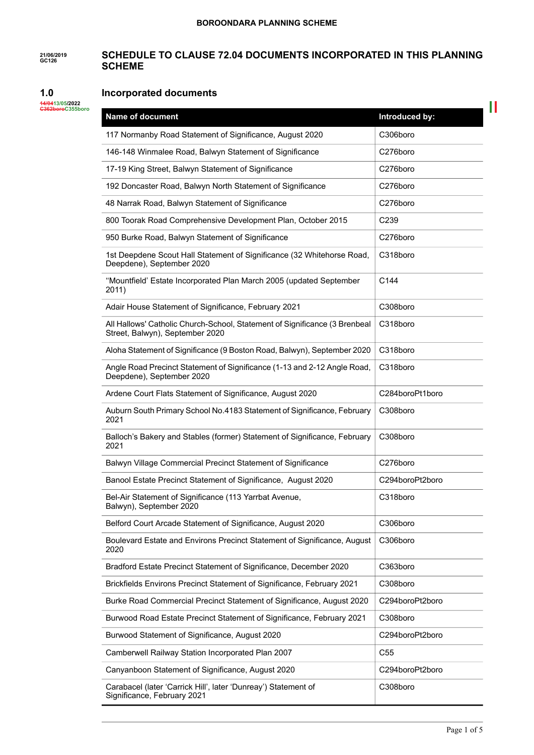#### **21/06/2019 GC126 SCHEDULE TO CLAUSE 72.04 DOCUMENTS INCORPORATED IN THIS PLANNING SCHEME**

#### **1.0 Incorporated documents**

| 44/0413/05/2022  |  |
|------------------|--|
| C362boroC355boro |  |

| <b>Name of document</b>                                                                                       | Introduced by:   |
|---------------------------------------------------------------------------------------------------------------|------------------|
| 117 Normanby Road Statement of Significance, August 2020                                                      | C306boro         |
| 146-148 Winmalee Road, Balwyn Statement of Significance                                                       | C276boro         |
| 17-19 King Street, Balwyn Statement of Significance                                                           | C276boro         |
| 192 Doncaster Road, Balwyn North Statement of Significance                                                    | C276boro         |
| 48 Narrak Road, Balwyn Statement of Significance                                                              | C276boro         |
| 800 Toorak Road Comprehensive Development Plan, October 2015                                                  | C <sub>239</sub> |
| 950 Burke Road, Balwyn Statement of Significance                                                              | C276boro         |
| 1st Deepdene Scout Hall Statement of Significance (32 Whitehorse Road,<br>Deepdene), September 2020           | C318boro         |
| "Mountfield' Estate Incorporated Plan March 2005 (updated September<br>2011)                                  | C144             |
| Adair House Statement of Significance, February 2021                                                          | C308boro         |
| All Hallows' Catholic Church-School, Statement of Significance (3 Brenbeal<br>Street, Balwyn), September 2020 | C318boro         |
| Aloha Statement of Significance (9 Boston Road, Balwyn), September 2020                                       | C318boro         |
| Angle Road Precinct Statement of Significance (1-13 and 2-12 Angle Road,<br>Deepdene), September 2020         | C318boro         |
| Ardene Court Flats Statement of Significance, August 2020                                                     | C284boroPt1boro  |
| Auburn South Primary School No.4183 Statement of Significance, February<br>2021                               | C308boro         |
| Balloch's Bakery and Stables (former) Statement of Significance, February<br>2021                             | C308boro         |
| Balwyn Village Commercial Precinct Statement of Significance                                                  | C276boro         |
| Banool Estate Precinct Statement of Significance, August 2020                                                 | C294boroPt2boro  |
| Bel-Air Statement of Significance (113 Yarrbat Avenue,<br>Balwyn), September 2020                             | C318boro         |
| Belford Court Arcade Statement of Significance, August 2020                                                   | C306boro         |
| Boulevard Estate and Environs Precinct Statement of Significance, August<br>2020                              | C306boro         |
| Bradford Estate Precinct Statement of Significance, December 2020                                             | C363boro         |
| Brickfields Environs Precinct Statement of Significance, February 2021                                        | C308boro         |
| Burke Road Commercial Precinct Statement of Significance, August 2020                                         | C294boroPt2boro  |
| Burwood Road Estate Precinct Statement of Significance, February 2021                                         | C308boro         |
| Burwood Statement of Significance, August 2020                                                                | C294boroPt2boro  |
| Camberwell Railway Station Incorporated Plan 2007                                                             | C <sub>55</sub>  |
| Canyanboon Statement of Significance, August 2020                                                             | C294boroPt2boro  |
| Carabacel (later 'Carrick Hill', later 'Dunreay') Statement of<br>Significance, February 2021                 | C308boro         |

 $\mathbb{R}^{\mathbb{N}}$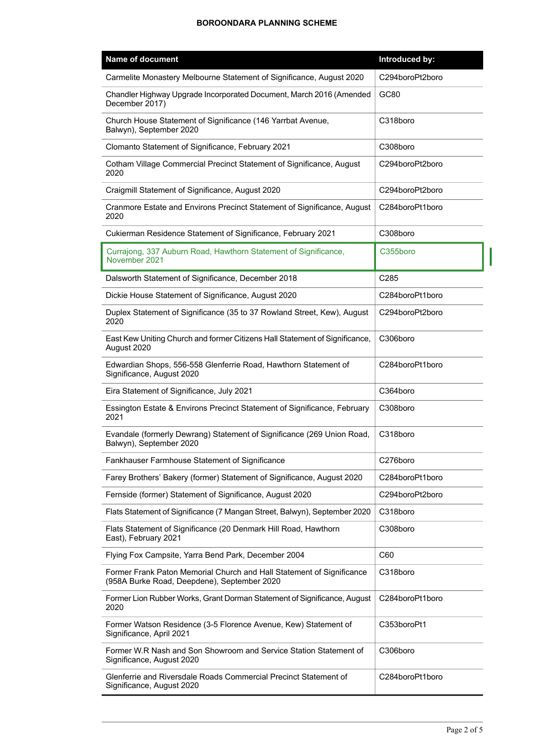| <b>Name of document</b>                                                                                              | Introduced by:  |
|----------------------------------------------------------------------------------------------------------------------|-----------------|
| Carmelite Monastery Melbourne Statement of Significance, August 2020                                                 | C294boroPt2boro |
| Chandler Highway Upgrade Incorporated Document, March 2016 (Amended<br>December 2017)                                | GC80            |
| Church House Statement of Significance (146 Yarrbat Avenue,<br>Balwyn), September 2020                               | C318boro        |
| Clomanto Statement of Significance, February 2021                                                                    | C308boro        |
| Cotham Village Commercial Precinct Statement of Significance, August<br>2020                                         | C294boroPt2boro |
| Craigmill Statement of Significance, August 2020                                                                     | C294boroPt2boro |
| Cranmore Estate and Environs Precinct Statement of Significance, August<br>2020                                      | C284boroPt1boro |
| Cukierman Residence Statement of Significance, February 2021                                                         | C308boro        |
| Currajong, 337 Auburn Road, Hawthorn Statement of Significance,<br>November 2021                                     | C355boro        |
| Dalsworth Statement of Significance, December 2018                                                                   | C285            |
| Dickie House Statement of Significance, August 2020                                                                  | C284boroPt1boro |
| Duplex Statement of Significance (35 to 37 Rowland Street, Kew), August<br>2020                                      | C294boroPt2boro |
| East Kew Uniting Church and former Citizens Hall Statement of Significance,<br>August 2020                           | C306boro        |
| Edwardian Shops, 556-558 Glenferrie Road, Hawthorn Statement of<br>Significance, August 2020                         | C284boroPt1boro |
| Eira Statement of Significance, July 2021                                                                            | C364boro        |
| Essington Estate & Environs Precinct Statement of Significance, February<br>2021                                     | C308boro        |
| Evandale (formerly Dewrang) Statement of Significance (269 Union Road,<br>Balwyn), September 2020                    | C318boro        |
| Fankhauser Farmhouse Statement of Significance                                                                       | C276boro        |
| Farey Brothers' Bakery (former) Statement of Significance, August 2020                                               | C284boroPt1boro |
| Fernside (former) Statement of Significance, August 2020                                                             | C294boroPt2boro |
| Flats Statement of Significance (7 Mangan Street, Balwyn), September 2020                                            | C318boro        |
| Flats Statement of Significance (20 Denmark Hill Road, Hawthorn<br>East), February 2021                              | C308boro        |
| Flying Fox Campsite, Yarra Bend Park, December 2004                                                                  | C60             |
| Former Frank Paton Memorial Church and Hall Statement of Significance<br>(958A Burke Road, Deepdene), September 2020 | C318boro        |
| Former Lion Rubber Works, Grant Dorman Statement of Significance, August<br>2020                                     | C284boroPt1boro |
| Former Watson Residence (3-5 Florence Avenue, Kew) Statement of<br>Significance, April 2021                          | C353boroPt1     |
| Former W.R Nash and Son Showroom and Service Station Statement of<br>Significance, August 2020                       | C306boro        |
| Glenferrie and Riversdale Roads Commercial Precinct Statement of<br>Significance, August 2020                        | C284boroPt1boro |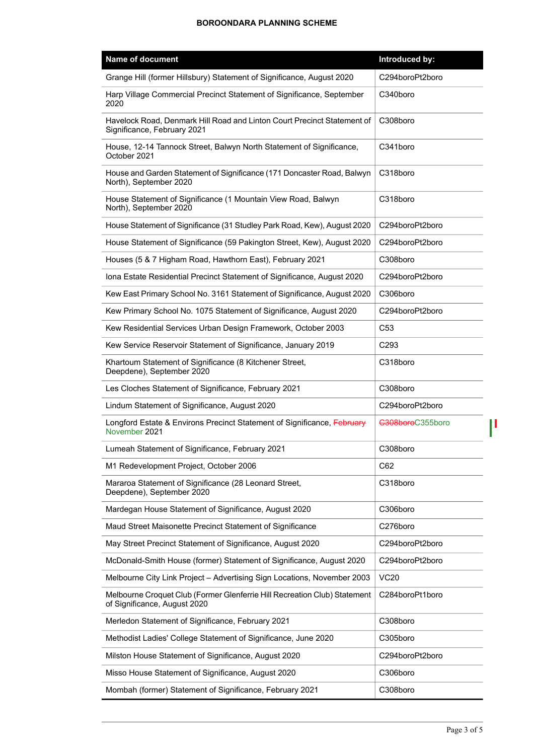| <b>Name of document</b>                                                                                   | Introduced by:   |
|-----------------------------------------------------------------------------------------------------------|------------------|
| Grange Hill (former Hillsbury) Statement of Significance, August 2020                                     | C294boroPt2boro  |
| Harp Village Commercial Precinct Statement of Significance, September<br>2020                             | C340boro         |
| Havelock Road, Denmark Hill Road and Linton Court Precinct Statement of<br>Significance, February 2021    | C308boro         |
| House, 12-14 Tannock Street, Balwyn North Statement of Significance,<br>October 2021                      | C341boro         |
| House and Garden Statement of Significance (171 Doncaster Road, Balwyn<br>North), September 2020          | C318boro         |
| House Statement of Significance (1 Mountain View Road, Balwyn<br>North), September 2020                   | C318boro         |
| House Statement of Significance (31 Studley Park Road, Kew), August 2020                                  | C294boroPt2boro  |
| House Statement of Significance (59 Pakington Street, Kew), August 2020                                   | C294boroPt2boro  |
| Houses (5 & 7 Higham Road, Hawthorn East), February 2021                                                  | C308boro         |
| Iona Estate Residential Precinct Statement of Significance, August 2020                                   | C294boroPt2boro  |
| Kew East Primary School No. 3161 Statement of Significance, August 2020                                   | C306boro         |
| Kew Primary School No. 1075 Statement of Significance, August 2020                                        | C294boroPt2boro  |
| Kew Residential Services Urban Design Framework, October 2003                                             | C <sub>53</sub>  |
| Kew Service Reservoir Statement of Significance, January 2019                                             | C <sub>293</sub> |
| Khartoum Statement of Significance (8 Kitchener Street,<br>Deepdene), September 2020                      | C318boro         |
| Les Cloches Statement of Significance, February 2021                                                      | C308boro         |
| Lindum Statement of Significance, August 2020                                                             | C294boroPt2boro  |
| Longford Estate & Environs Precinct Statement of Significance, February<br>November 2021                  | C308boroC355boro |
| Lumeah Statement of Significance, February 2021                                                           | C308boro         |
| M1 Redevelopment Project, October 2006                                                                    | C62              |
| Mararoa Statement of Significance (28 Leonard Street,<br>Deepdene), September 2020                        | C318boro         |
| Mardegan House Statement of Significance, August 2020                                                     | C306boro         |
| Maud Street Maisonette Precinct Statement of Significance                                                 | C276boro         |
| May Street Precinct Statement of Significance, August 2020                                                | C294boroPt2boro  |
| McDonald-Smith House (former) Statement of Significance, August 2020                                      | C294boroPt2boro  |
| Melbourne City Link Project - Advertising Sign Locations, November 2003                                   | <b>VC20</b>      |
| Melbourne Croquet Club (Former Glenferrie Hill Recreation Club) Statement<br>of Significance, August 2020 | C284boroPt1boro  |
| Merledon Statement of Significance, February 2021                                                         | C308boro         |
| Methodist Ladies' College Statement of Significance, June 2020                                            | C305boro         |
| Milston House Statement of Significance, August 2020                                                      | C294boroPt2boro  |
| Misso House Statement of Significance, August 2020                                                        | C306boro         |
| Mombah (former) Statement of Significance, February 2021                                                  | C308boro         |

 $\begin{array}{c} \rule{0pt}{2ex} \rule{0pt}{2ex} \rule{0pt}{2ex} \rule{0pt}{2ex} \rule{0pt}{2ex} \rule{0pt}{2ex} \rule{0pt}{2ex} \rule{0pt}{2ex} \rule{0pt}{2ex} \rule{0pt}{2ex} \rule{0pt}{2ex} \rule{0pt}{2ex} \rule{0pt}{2ex} \rule{0pt}{2ex} \rule{0pt}{2ex} \rule{0pt}{2ex} \rule{0pt}{2ex} \rule{0pt}{2ex} \rule{0pt}{2ex} \rule{0pt}{2ex} \rule{0pt}{2ex} \rule{0pt}{2ex} \rule{0pt}{2ex} \rule{0pt}{$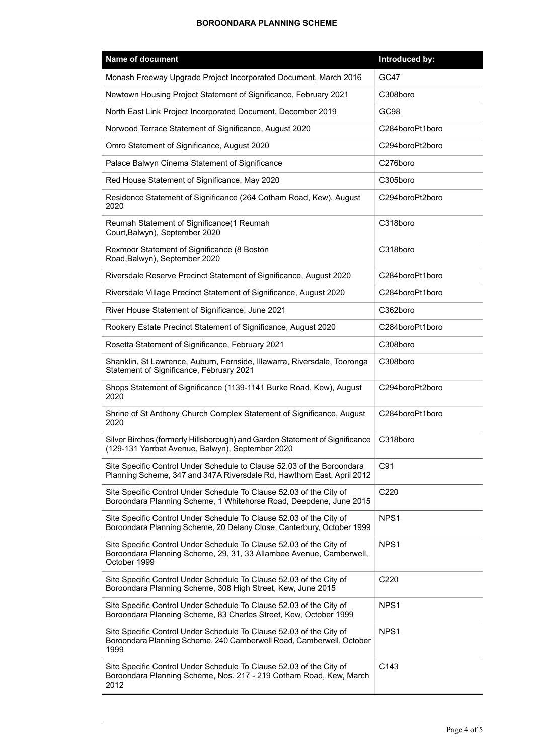| <b>Name of document</b>                                                                                                                                    | Introduced by:  |
|------------------------------------------------------------------------------------------------------------------------------------------------------------|-----------------|
| Monash Freeway Upgrade Project Incorporated Document, March 2016                                                                                           | GC47            |
| Newtown Housing Project Statement of Significance, February 2021                                                                                           | C308boro        |
| North East Link Project Incorporated Document, December 2019                                                                                               | GC98            |
| Norwood Terrace Statement of Significance, August 2020                                                                                                     | C284boroPt1boro |
| Omro Statement of Significance, August 2020                                                                                                                | C294boroPt2boro |
| Palace Balwyn Cinema Statement of Significance                                                                                                             | C276boro        |
| Red House Statement of Significance, May 2020                                                                                                              | C305boro        |
| Residence Statement of Significance (264 Cotham Road, Kew), August<br>2020                                                                                 | C294boroPt2boro |
| Reumah Statement of Significance(1 Reumah<br>Court, Balwyn), September 2020                                                                                | C318boro        |
| Rexmoor Statement of Significance (8 Boston<br>Road, Balwyn), September 2020                                                                               | C318boro        |
| Riversdale Reserve Precinct Statement of Significance, August 2020                                                                                         | C284boroPt1boro |
| Riversdale Village Precinct Statement of Significance, August 2020                                                                                         | C284boroPt1boro |
| River House Statement of Significance, June 2021                                                                                                           | C362boro        |
| Rookery Estate Precinct Statement of Significance, August 2020                                                                                             | C284boroPt1boro |
| Rosetta Statement of Significance, February 2021                                                                                                           | C308boro        |
| Shanklin, St Lawrence, Auburn, Fernside, Illawarra, Riversdale, Tooronga<br>Statement of Significance, February 2021                                       | C308boro        |
| Shops Statement of Significance (1139-1141 Burke Road, Kew), August<br>2020                                                                                | C294boroPt2boro |
| Shrine of St Anthony Church Complex Statement of Significance, August<br>2020                                                                              | C284boroPt1boro |
| Silver Birches (formerly Hillsborough) and Garden Statement of Significance<br>(129-131 Yarrbat Avenue, Balwyn), September 2020                            | C318boro        |
| Site Specific Control Under Schedule to Clause 52.03 of the Boroondara<br>Planning Scheme, 347 and 347A Riversdale Rd, Hawthorn East, April 2012           | C91             |
| Site Specific Control Under Schedule To Clause 52.03 of the City of<br>Boroondara Planning Scheme, 1 Whitehorse Road, Deepdene, June 2015                  | C220            |
| Site Specific Control Under Schedule To Clause 52.03 of the City of<br>Boroondara Planning Scheme, 20 Delany Close, Canterbury, October 1999               | NPS1            |
| Site Specific Control Under Schedule To Clause 52.03 of the City of<br>Boroondara Planning Scheme, 29, 31, 33 Allambee Avenue, Camberwell,<br>October 1999 | NPS1            |
| Site Specific Control Under Schedule To Clause 52.03 of the City of<br>Boroondara Planning Scheme, 308 High Street, Kew, June 2015                         | C220            |
| Site Specific Control Under Schedule To Clause 52.03 of the City of<br>Boroondara Planning Scheme, 83 Charles Street, Kew, October 1999                    | NPS1            |
| Site Specific Control Under Schedule To Clause 52.03 of the City of<br>Boroondara Planning Scheme, 240 Camberwell Road, Camberwell, October<br>1999        | NPS1            |
| Site Specific Control Under Schedule To Clause 52.03 of the City of<br>Boroondara Planning Scheme, Nos. 217 - 219 Cotham Road, Kew, March<br>2012          | C143            |